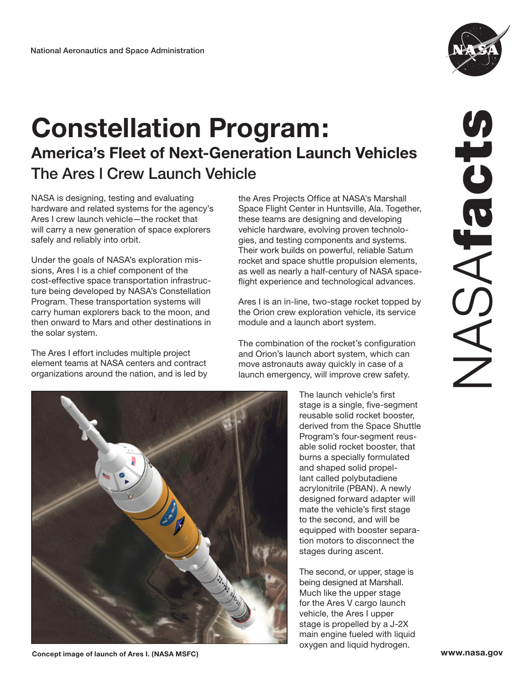

## **Constellation Program: America's Fleet of Next-Generation Launch Vehicles** The Ares l Crew Launch Vehicle

NASA is designing, testing and evaluating hardware and related systems for the agency's Ares I crew launch vehicle—the rocket that will carry a new generation of space explorers safely and reliably into orbit.

Under the goals of NASA's exploration missions, Ares I is a chief component of the cost-effective space transportation infrastructure being developed by NASA's Constellation Program. These transportation systems will carry human explorers back to the moon, and then onward to Mars and other destinations in the solar system.

The Ares I effort includes multiple project element teams at NASA centers and contract organizations around the nation, and is led by

the Ares Projects Office at NASA's Marshall Space Flight Center in Huntsville, Ala. Together, these teams are designing and developing vehicle hardware, evolving proven technologies, and testing components and systems. Their work builds on powerful, reliable Saturn rocket and space shuttle propulsion elements, as well as nearly a half-century of NASA spaceflight experience and technological advances.

Ares I is an in-line, two-stage rocket topped by the Orion crew exploration vehicle, its service module and a launch abort system.

The combination of the rocket's configuration and Orion's launch abort system, which can move astronauts away quickly in case of a launch emergency, will improve crew safety.



The launch vehicle's first stage is a single, five-segment reusable solid rocket booster, derived from the Space Shuttle Program's four-segment reusable solid rocket booster, that burns a specially formulated and shaped solid propellant called polybutadiene acrylonitrile (PBAN). A newly designed forward adapter will mate the vehicle's first stage to the second, and will be equipped with booster separation motors to disconnect the stages during ascent.

The second, or upper, stage is being designed at Marshall. Much like the upper stage for the Ares V cargo launch vehicle, the Ares I upper stage is propelled by a J-2X main engine fueled with liquid oxygen and liquid hydrogen.

**Concept image of launch of Ares I. (NASA MSFC) www.nasa.gov**